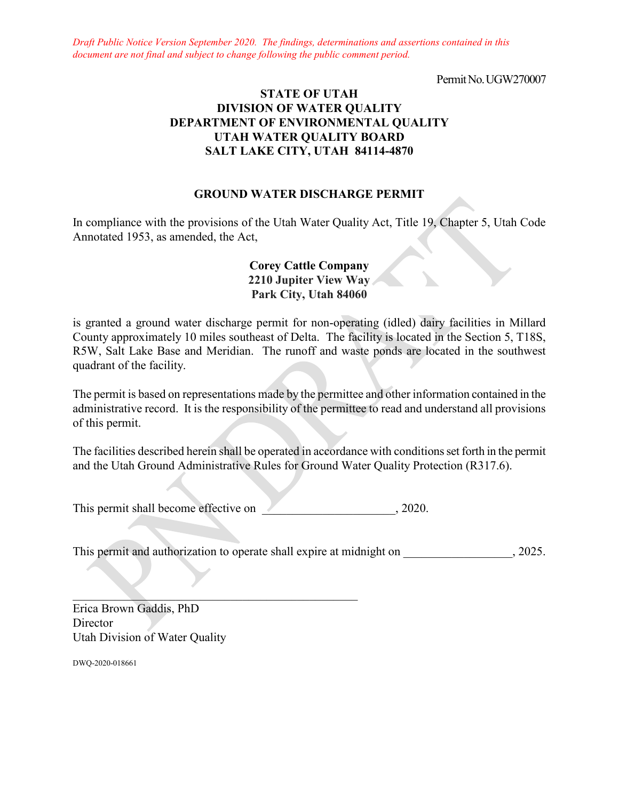*Draft Public Notice Version September 2020. The findings, determinations and assertions contained in this document are not final and subject to change following the public comment period.*

Permit No. UGW270007

# **STATE OF UTAH DIVISION OF WATER QUALITY DEPARTMENT OF ENVIRONMENTAL QUALITY UTAH WATER QUALITY BOARD SALT LAKE CITY, UTAH 84114-4870**

# **GROUND WATER DISCHARGE PERMIT**

In compliance with the provisions of the Utah Water Quality Act, Title 19, Chapter 5, Utah Code Annotated 1953, as amended, the Act,

# **Corey Cattle Company 2210 Jupiter View Way Park City, Utah 84060**

is granted a ground water discharge permit for non-operating (idled) dairy facilities in Millard County approximately 10 miles southeast of Delta. The facility is located in the Section 5, T18S, R5W, Salt Lake Base and Meridian. The runoff and waste ponds are located in the southwest quadrant of the facility.

The permit is based on representations made by the permittee and other information contained in the administrative record. It is the responsibility of the permittee to read and understand all provisions of this permit.

The facilities described herein shall be operated in accordance with conditions set forth in the permit and the Utah Ground Administrative Rules for Ground Water Quality Protection (R317.6).

This permit shall become effective on  $\sim$  2020.

 $\mathcal{L}_\text{max} = \mathcal{L}_\text{max} = \mathcal{L}_\text{max} = \mathcal{L}_\text{max} = \mathcal{L}_\text{max} = \mathcal{L}_\text{max} = \mathcal{L}_\text{max}$ 

This permit and authorization to operate shall expire at midnight on  $\qquad \qquad$ , 2025.

Erica Brown Gaddis, PhD Director Utah Division of Water Quality

DWQ-2020-018661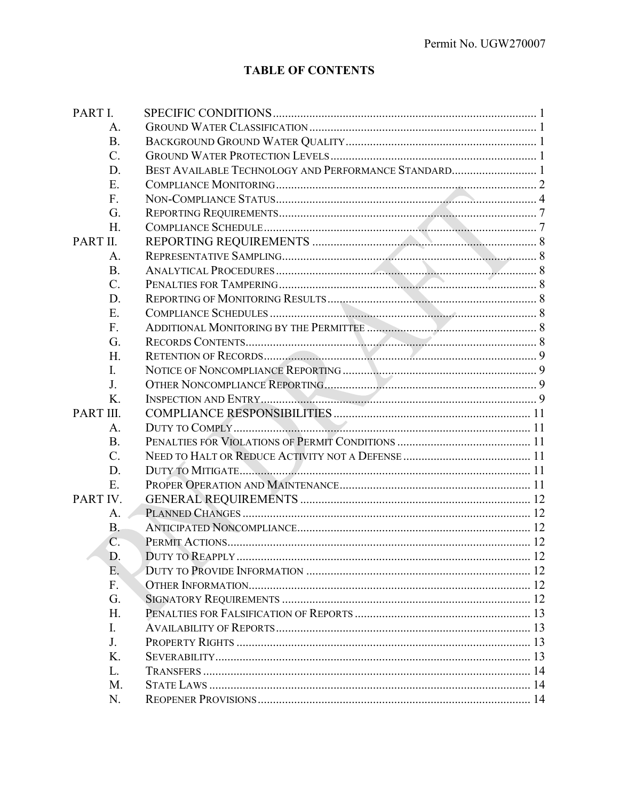# **TABLE OF CONTENTS**

| PART I.   |                 |                  |  |
|-----------|-----------------|------------------|--|
|           | A.              |                  |  |
|           | <b>B.</b>       |                  |  |
|           | $\mathcal{C}$ . |                  |  |
|           | D.              |                  |  |
|           | Ε.              |                  |  |
|           | F.              |                  |  |
|           | G.              |                  |  |
|           | H.              |                  |  |
| PART II.  |                 |                  |  |
|           | A.              |                  |  |
|           | <b>B.</b>       |                  |  |
|           | $C$ .           |                  |  |
|           | D.              |                  |  |
|           | Ε.              |                  |  |
|           | F.              |                  |  |
|           | G.              |                  |  |
|           | Η.              |                  |  |
|           | I.              |                  |  |
|           | J.              |                  |  |
|           | Κ.              |                  |  |
| PART III. |                 |                  |  |
|           | А.              |                  |  |
|           | <b>B.</b>       |                  |  |
|           | $C$ .           |                  |  |
|           | D.              |                  |  |
|           | E.              |                  |  |
| PART IV.  |                 |                  |  |
|           | A.              |                  |  |
|           | $B -$           |                  |  |
|           | C.              |                  |  |
|           | D.              | DUTY TO REAPPLY. |  |
|           | Ε.              |                  |  |
|           | F.              |                  |  |
|           | G.              |                  |  |
|           | H.              |                  |  |
|           | L.              |                  |  |
|           | J.              |                  |  |
|           | Κ.              |                  |  |
|           | L.              |                  |  |
|           | M.              |                  |  |
|           | N.              |                  |  |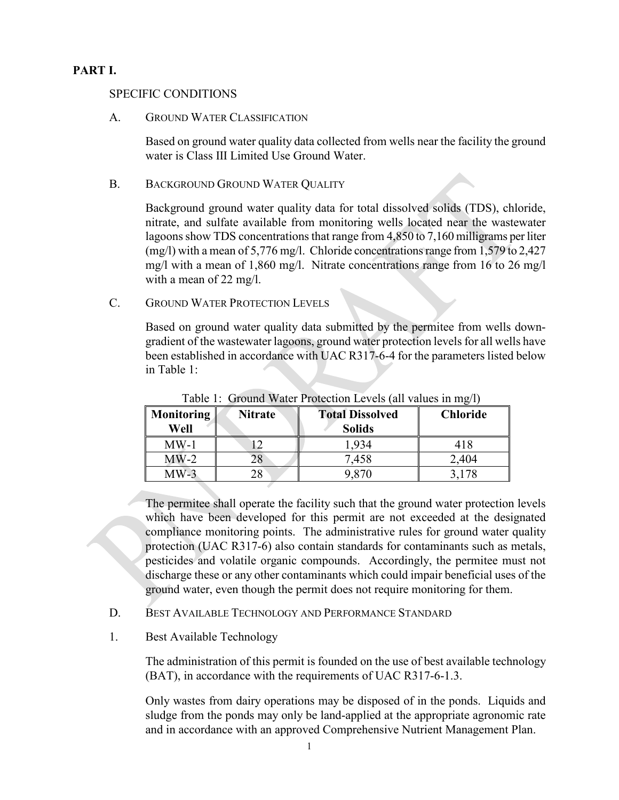# **PART I.**

## SPECIFIC CONDITIONS

#### A. GROUND WATER CLASSIFICATION

Based on ground water quality data collected from wells near the facility the ground water is Class III Limited Use Ground Water.

#### B. BACKGROUND GROUND WATER QUALITY

Background ground water quality data for total dissolved solids (TDS), chloride, nitrate, and sulfate available from monitoring wells located near the wastewater lagoons show TDS concentrations that range from 4,850 to 7,160 milligrams per liter (mg/l) with a mean of 5,776 mg/l. Chloride concentrations range from 1,579 to 2,427 mg/l with a mean of 1,860 mg/l. Nitrate concentrations range from 16 to 26 mg/l with a mean of 22 mg/l.

# C. GROUND WATER PROTECTION LEVELS

Based on ground water quality data submitted by the permitee from wells downgradient of the wastewater lagoons, ground water protection levels for all wells have been established in accordance with UAC R317-6-4 for the parameters listed below in Table 1:

| <b>Monitoring</b><br>Well | <b>Total Dissolved</b><br><b>Nitrate</b><br><b>Solids</b> |       | <b>Chloride</b> |
|---------------------------|-----------------------------------------------------------|-------|-----------------|
| $MW-1$                    |                                                           | 1,934 | 418             |
| $MW-2$                    |                                                           | 7,458 | 2,404           |
| $MW-3$                    |                                                           | 9,870 | 3.178           |

Table 1: Ground Water Protection Levels (all values in mg/l)

The permitee shall operate the facility such that the ground water protection levels which have been developed for this permit are not exceeded at the designated compliance monitoring points. The administrative rules for ground water quality protection (UAC R317-6) also contain standards for contaminants such as metals, pesticides and volatile organic compounds. Accordingly, the permitee must not discharge these or any other contaminants which could impair beneficial uses of the ground water, even though the permit does not require monitoring for them.

- D. BEST AVAILABLE TECHNOLOGY AND PERFORMANCE STANDARD
- 1. Best Available Technology

The administration of this permit is founded on the use of best available technology (BAT), in accordance with the requirements of UAC R317-6-1.3.

Only wastes from dairy operations may be disposed of in the ponds. Liquids and sludge from the ponds may only be land-applied at the appropriate agronomic rate and in accordance with an approved Comprehensive Nutrient Management Plan.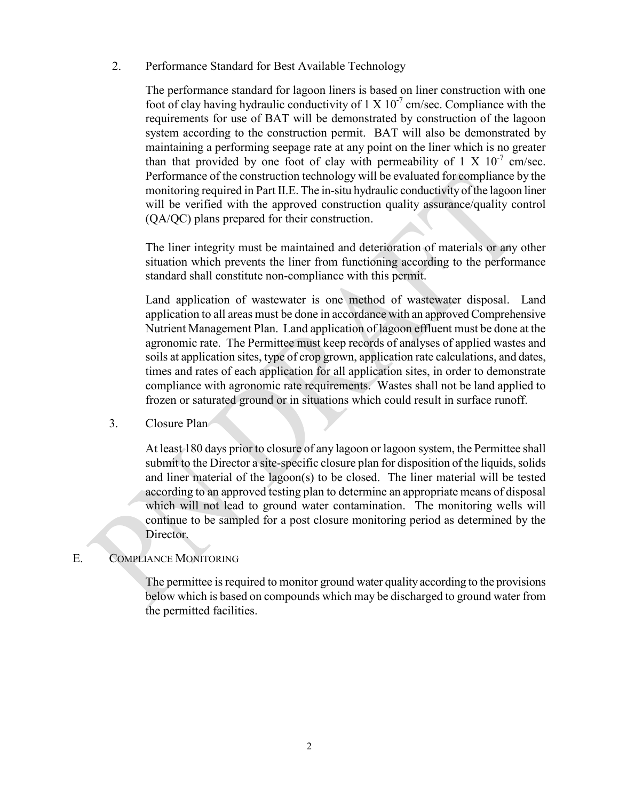2. Performance Standard for Best Available Technology

The performance standard for lagoon liners is based on liner construction with one foot of clay having hydraulic conductivity of  $1 \times 10^{-7}$  cm/sec. Compliance with the requirements for use of BAT will be demonstrated by construction of the lagoon system according to the construction permit. BAT will also be demonstrated by maintaining a performing seepage rate at any point on the liner which is no greater than that provided by one foot of clay with permeability of  $1 \times 10^{-7}$  cm/sec. Performance of the construction technology will be evaluated for compliance by the monitoring required in Part II.E. The in-situ hydraulic conductivity of the lagoon liner will be verified with the approved construction quality assurance/quality control (QA/QC) plans prepared for their construction.

The liner integrity must be maintained and deterioration of materials or any other situation which prevents the liner from functioning according to the performance standard shall constitute non-compliance with this permit.

Land application of wastewater is one method of wastewater disposal. Land application to all areas must be done in accordance with an approved Comprehensive Nutrient Management Plan. Land application of lagoon effluent must be done at the agronomic rate. The Permittee must keep records of analyses of applied wastes and soils at application sites, type of crop grown, application rate calculations, and dates, times and rates of each application for all application sites, in order to demonstrate compliance with agronomic rate requirements. Wastes shall not be land applied to frozen or saturated ground or in situations which could result in surface runoff.

3. Closure Plan

At least 180 days prior to closure of any lagoon or lagoon system, the Permittee shall submit to the Director a site-specific closure plan for disposition of the liquids, solids and liner material of the lagoon(s) to be closed. The liner material will be tested according to an approved testing plan to determine an appropriate means of disposal which will not lead to ground water contamination. The monitoring wells will continue to be sampled for a post closure monitoring period as determined by the Director.

## E. COMPLIANCE MONITORING

The permittee is required to monitor ground water quality according to the provisions below which is based on compounds which may be discharged to ground water from the permitted facilities.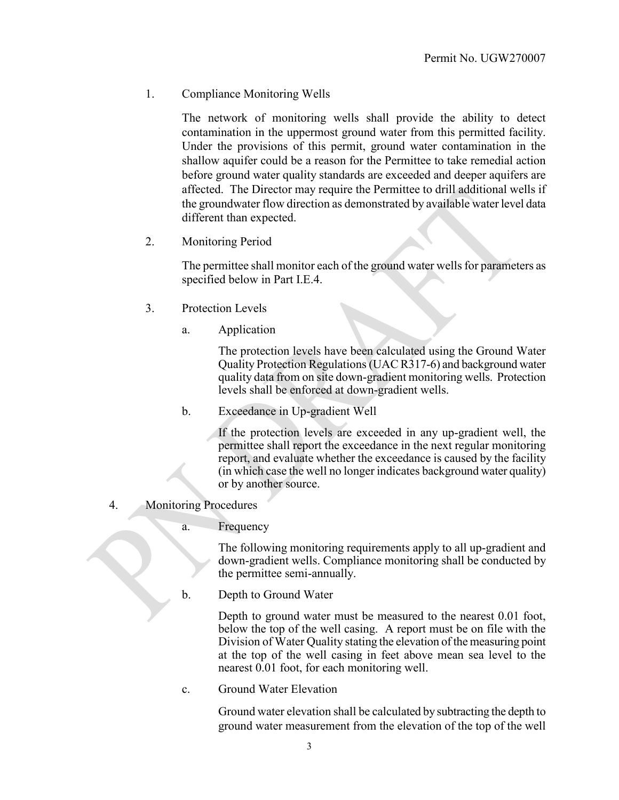1. Compliance Monitoring Wells

The network of monitoring wells shall provide the ability to detect contamination in the uppermost ground water from this permitted facility. Under the provisions of this permit, ground water contamination in the shallow aquifer could be a reason for the Permittee to take remedial action before ground water quality standards are exceeded and deeper aquifers are affected. The Director may require the Permittee to drill additional wells if the groundwater flow direction as demonstrated by available water level data different than expected.

2. Monitoring Period

The permittee shall monitor each of the ground water wells for parameters as specified below in Part I.E.4.

- 3. Protection Levels
	- a. Application

The protection levels have been calculated using the Ground Water Quality Protection Regulations (UAC R317-6) and background water quality data from on site down-gradient monitoring wells. Protection levels shall be enforced at down-gradient wells.

b. Exceedance in Up-gradient Well

If the protection levels are exceeded in any up-gradient well, the permittee shall report the exceedance in the next regular monitoring report, and evaluate whether the exceedance is caused by the facility (in which case the well no longer indicates background water quality) or by another source.

- 4. Monitoring Procedures
	- a. Frequency

The following monitoring requirements apply to all up-gradient and down-gradient wells. Compliance monitoring shall be conducted by the permittee semi-annually.

b. Depth to Ground Water

Depth to ground water must be measured to the nearest 0.01 foot, below the top of the well casing. A report must be on file with the Division of Water Quality stating the elevation of the measuring point at the top of the well casing in feet above mean sea level to the nearest 0.01 foot, for each monitoring well.

c. Ground Water Elevation

Ground water elevation shall be calculated by subtracting the depth to ground water measurement from the elevation of the top of the well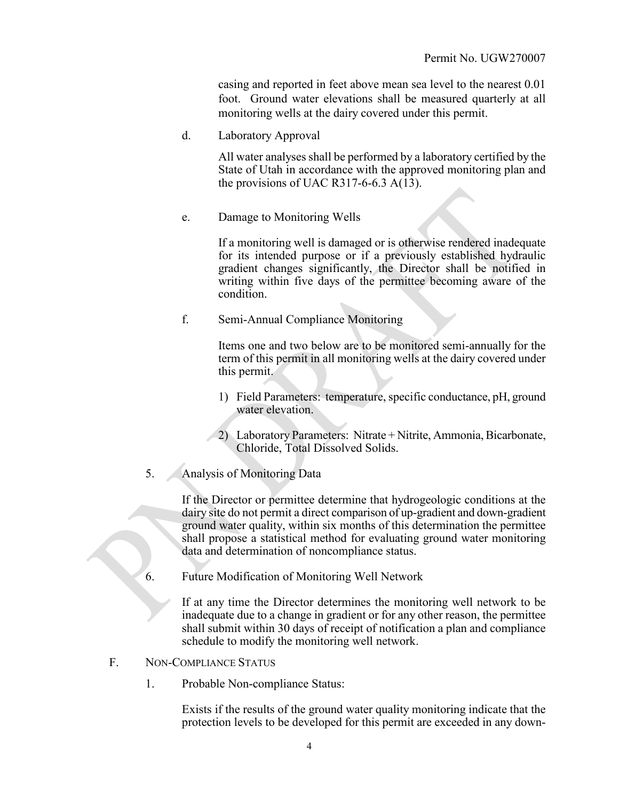casing and reported in feet above mean sea level to the nearest 0.01 foot. Ground water elevations shall be measured quarterly at all monitoring wells at the dairy covered under this permit.

d. Laboratory Approval

All water analyses shall be performed by a laboratory certified by the State of Utah in accordance with the approved monitoring plan and the provisions of UAC R317-6-6.3  $A(13)$ .

e. Damage to Monitoring Wells

If a monitoring well is damaged or is otherwise rendered inadequate for its intended purpose or if a previously established hydraulic gradient changes significantly, the Director shall be notified in writing within five days of the permittee becoming aware of the condition.

f. Semi-Annual Compliance Monitoring

Items one and two below are to be monitored semi-annually for the term of this permit in all monitoring wells at the dairy covered under this permit.

- 1) Field Parameters: temperature, specific conductance, pH, ground water elevation.
- 2) Laboratory Parameters: Nitrate + Nitrite, Ammonia, Bicarbonate, Chloride, Total Dissolved Solids.
- 5. Analysis of Monitoring Data

If the Director or permittee determine that hydrogeologic conditions at the dairy site do not permit a direct comparison of up-gradient and down-gradient ground water quality, within six months of this determination the permittee shall propose a statistical method for evaluating ground water monitoring data and determination of noncompliance status.

6. Future Modification of Monitoring Well Network

If at any time the Director determines the monitoring well network to be inadequate due to a change in gradient or for any other reason, the permittee shall submit within 30 days of receipt of notification a plan and compliance schedule to modify the monitoring well network.

- F. NON-COMPLIANCE STATUS
	- 1. Probable Non-compliance Status:

Exists if the results of the ground water quality monitoring indicate that the protection levels to be developed for this permit are exceeded in any down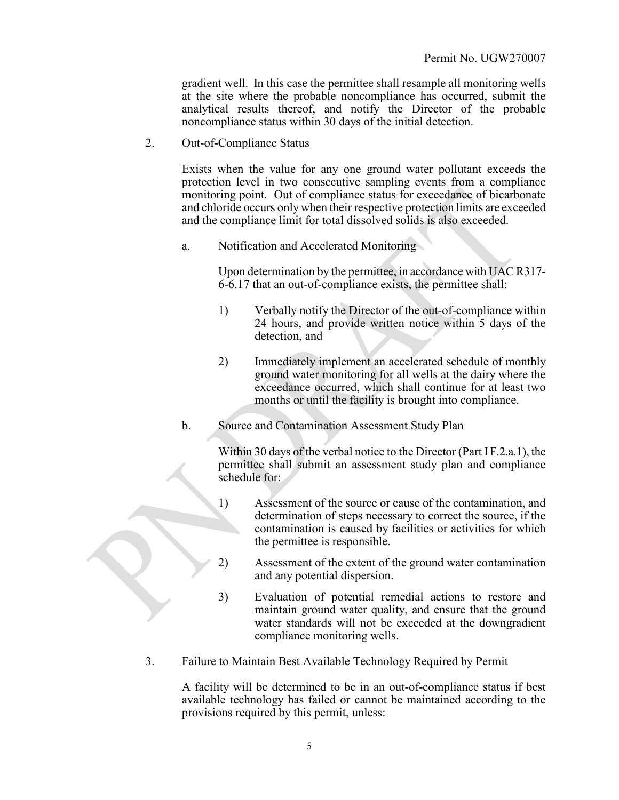gradient well. In this case the permittee shall resample all monitoring wells at the site where the probable noncompliance has occurred, submit the analytical results thereof, and notify the Director of the probable noncompliance status within 30 days of the initial detection.

2. Out-of-Compliance Status

Exists when the value for any one ground water pollutant exceeds the protection level in two consecutive sampling events from a compliance monitoring point. Out of compliance status for exceedance of bicarbonate and chloride occurs only when their respective protection limits are exceeded and the compliance limit for total dissolved solids is also exceeded.

a. Notification and Accelerated Monitoring

Upon determination by the permittee, in accordance with UAC R317- 6-6.17 that an out-of-compliance exists, the permittee shall:

- 1) Verbally notify the Director of the out-of-compliance within 24 hours, and provide written notice within 5 days of the detection, and
- 2) Immediately implement an accelerated schedule of monthly ground water monitoring for all wells at the dairy where the exceedance occurred, which shall continue for at least two months or until the facility is brought into compliance.
- b. Source and Contamination Assessment Study Plan

Within 30 days of the verbal notice to the Director (Part I F.2.a.1), the permittee shall submit an assessment study plan and compliance schedule for:

- 1) Assessment of the source or cause of the contamination, and determination of steps necessary to correct the source, if the contamination is caused by facilities or activities for which the permittee is responsible.
- 2) Assessment of the extent of the ground water contamination and any potential dispersion.
- 3) Evaluation of potential remedial actions to restore and maintain ground water quality, and ensure that the ground water standards will not be exceeded at the downgradient compliance monitoring wells.
- 3. Failure to Maintain Best Available Technology Required by Permit

A facility will be determined to be in an out-of-compliance status if best available technology has failed or cannot be maintained according to the provisions required by this permit, unless: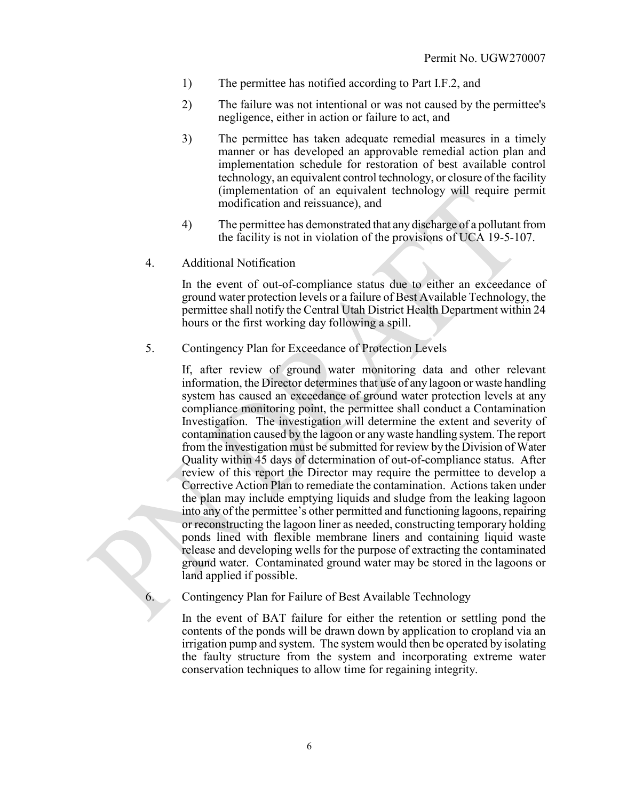- 1) The permittee has notified according to Part I.F.2, and
- 2) The failure was not intentional or was not caused by the permittee's negligence, either in action or failure to act, and
- 3) The permittee has taken adequate remedial measures in a timely manner or has developed an approvable remedial action plan and implementation schedule for restoration of best available control technology, an equivalent control technology, or closure of the facility (implementation of an equivalent technology will require permit modification and reissuance), and
- 4) The permittee has demonstrated that any discharge of a pollutant from the facility is not in violation of the provisions of UCA 19-5-107.
- 4. Additional Notification

In the event of out-of-compliance status due to either an exceedance of ground water protection levels or a failure of Best Available Technology, the permittee shall notify the Central Utah District Health Department within 24 hours or the first working day following a spill.

5. Contingency Plan for Exceedance of Protection Levels

If, after review of ground water monitoring data and other relevant information, the Director determines that use of any lagoon or waste handling system has caused an exceedance of ground water protection levels at any compliance monitoring point, the permittee shall conduct a Contamination Investigation. The investigation will determine the extent and severity of contamination caused by the lagoon or any waste handling system. The report from the investigation must be submitted for review by the Division of Water Quality within 45 days of determination of out-of-compliance status. After review of this report the Director may require the permittee to develop a Corrective Action Plan to remediate the contamination. Actions taken under the plan may include emptying liquids and sludge from the leaking lagoon into any of the permittee's other permitted and functioning lagoons, repairing or reconstructing the lagoon liner as needed, constructing temporary holding ponds lined with flexible membrane liners and containing liquid waste release and developing wells for the purpose of extracting the contaminated ground water. Contaminated ground water may be stored in the lagoons or land applied if possible.

Contingency Plan for Failure of Best Available Technology

In the event of BAT failure for either the retention or settling pond the contents of the ponds will be drawn down by application to cropland via an irrigation pump and system. The system would then be operated by isolating the faulty structure from the system and incorporating extreme water conservation techniques to allow time for regaining integrity.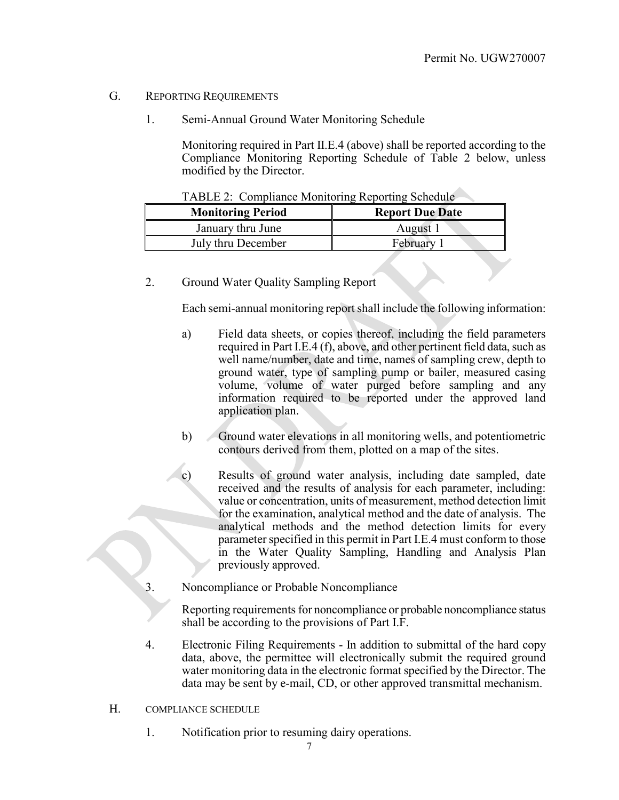#### G. REPORTING REQUIREMENTS

1. Semi-Annual Ground Water Monitoring Schedule

Monitoring required in Part II.E.4 (above) shall be reported according to the Compliance Monitoring Reporting Schedule of Table 2 below, unless modified by the Director.

| <b>Monitoring Period</b> | <b>Report Due Date</b> |  |  |
|--------------------------|------------------------|--|--|
| January thru June        | August 1               |  |  |
| July thru December       | February               |  |  |

|  | TABLE 2: Compliance Monitoring Reporting Schedule |  |  |  |
|--|---------------------------------------------------|--|--|--|
|--|---------------------------------------------------|--|--|--|

2. Ground Water Quality Sampling Report

Each semi-annual monitoring report shall include the following information:

- a) Field data sheets, or copies thereof, including the field parameters required in Part I.E.4 (f), above, and other pertinent field data, such as well name/number, date and time, names of sampling crew, depth to ground water, type of sampling pump or bailer, measured casing volume, volume of water purged before sampling and any information required to be reported under the approved land application plan.
- b) Ground water elevations in all monitoring wells, and potentiometric contours derived from them, plotted on a map of the sites.
- c) Results of ground water analysis, including date sampled, date received and the results of analysis for each parameter, including: value or concentration, units of measurement, method detection limit for the examination, analytical method and the date of analysis. The analytical methods and the method detection limits for every parameter specified in this permit in Part I.E.4 must conform to those in the Water Quality Sampling, Handling and Analysis Plan previously approved.
- 3. Noncompliance or Probable Noncompliance

Reporting requirements for noncompliance or probable noncompliance status shall be according to the provisions of Part I.F.

- 4. Electronic Filing Requirements In addition to submittal of the hard copy data, above, the permittee will electronically submit the required ground water monitoring data in the electronic format specified by the Director. The data may be sent by e-mail, CD, or other approved transmittal mechanism.
- H. COMPLIANCE SCHEDULE
	- 1. Notification prior to resuming dairy operations.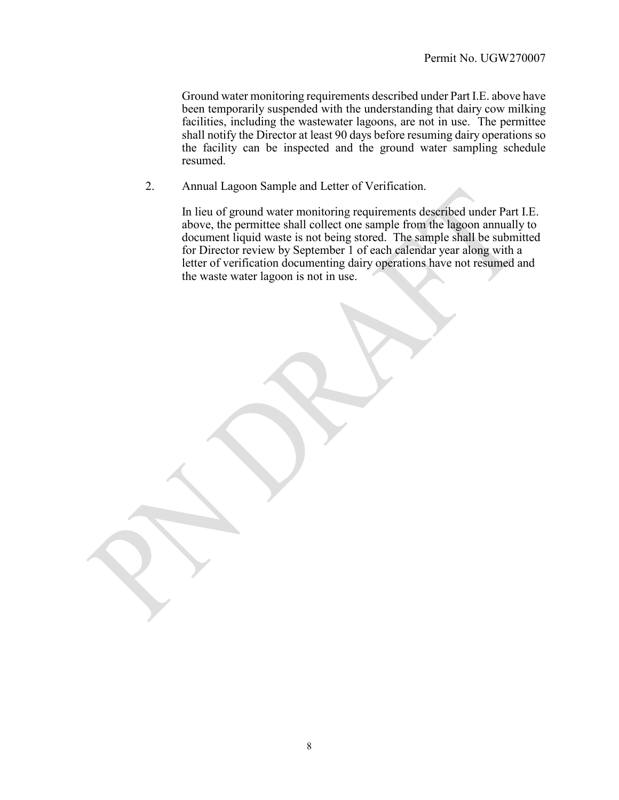Ground water monitoring requirements described under Part I.E. above have been temporarily suspended with the understanding that dairy cow milking facilities, including the wastewater lagoons, are not in use. The permittee shall notify the Director at least 90 days before resuming dairy operations so the facility can be inspected and the ground water sampling schedule resumed.

2. Annual Lagoon Sample and Letter of Verification.

In lieu of ground water monitoring requirements described under Part I.E. above, the permittee shall collect one sample from the lagoon annually to document liquid waste is not being stored. The sample shall be submitted for Director review by September 1 of each calendar year along with a letter of verification documenting dairy operations have not resumed and the waste water lagoon is not in use.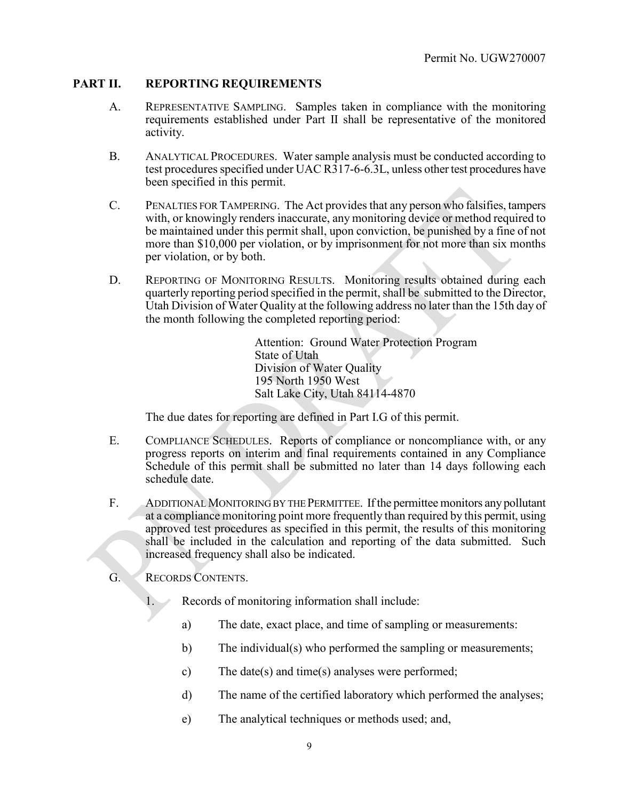# **PART II. REPORTING REQUIREMENTS**

- A. REPRESENTATIVE SAMPLING. Samples taken in compliance with the monitoring requirements established under Part II shall be representative of the monitored activity.
- B. ANALYTICAL PROCEDURES. Water sample analysis must be conducted according to test procedures specified under UAC R317-6-6.3L, unless other test procedures have been specified in this permit.
- C. PENALTIES FOR TAMPERING. The Act provides that any person who falsifies, tampers with, or knowingly renders inaccurate, any monitoring device or method required to be maintained under this permit shall, upon conviction, be punished by a fine of not more than \$10,000 per violation, or by imprisonment for not more than six months per violation, or by both.
- D. REPORTING OF MONITORING RESULTS. Monitoring results obtained during each quarterly reporting period specified in the permit, shall be submitted to the Director, Utah Division of Water Quality at the following address no later than the 15th day of the month following the completed reporting period:

Attention: Ground Water Protection Program State of Utah Division of Water Quality 195 North 1950 West Salt Lake City, Utah 84114-4870

The due dates for reporting are defined in Part I.G of this permit.

- E. COMPLIANCE SCHEDULES. Reports of compliance or noncompliance with, or any progress reports on interim and final requirements contained in any Compliance Schedule of this permit shall be submitted no later than 14 days following each schedule date.
- F. ADDITIONAL MONITORING BY THE PERMITTEE. If the permittee monitors any pollutant at a compliance monitoring point more frequently than required by this permit, using approved test procedures as specified in this permit, the results of this monitoring shall be included in the calculation and reporting of the data submitted. Such increased frequency shall also be indicated.
- G. RECORDS CONTENTS.
	- 1. Records of monitoring information shall include:
		- a) The date, exact place, and time of sampling or measurements:
		- b) The individual(s) who performed the sampling or measurements;
		- c) The date(s) and time(s) analyses were performed;
		- d) The name of the certified laboratory which performed the analyses;
		- e) The analytical techniques or methods used; and,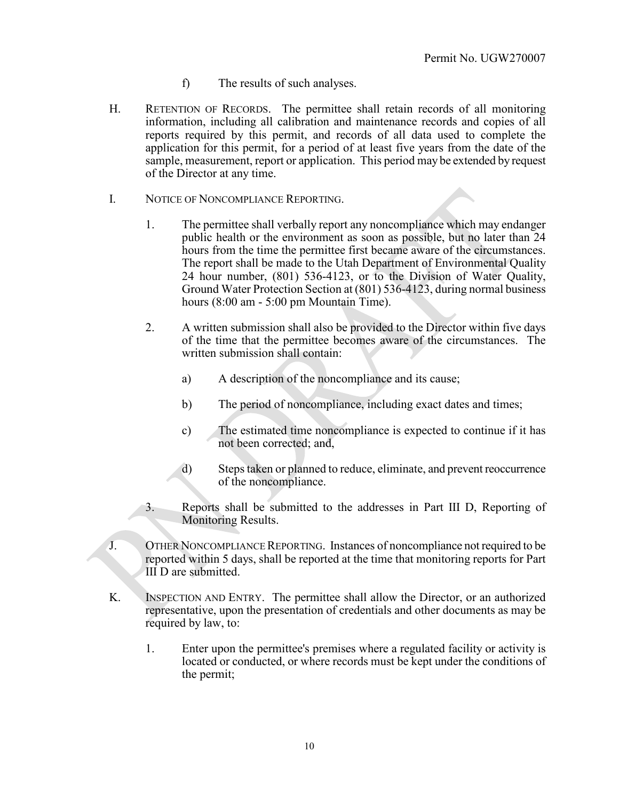- f) The results of such analyses.
- H. RETENTION OF RECORDS. The permittee shall retain records of all monitoring information, including all calibration and maintenance records and copies of all reports required by this permit, and records of all data used to complete the application for this permit, for a period of at least five years from the date of the sample, measurement, report or application. This period may be extended by request of the Director at any time.
- I. NOTICE OF NONCOMPLIANCE REPORTING.
	- 1. The permittee shall verbally report any noncompliance which may endanger public health or the environment as soon as possible, but no later than 24 hours from the time the permittee first became aware of the circumstances. The report shall be made to the Utah Department of Environmental Quality 24 hour number, (801) 536-4123, or to the Division of Water Quality, Ground Water Protection Section at (801) 536-4123, during normal business hours (8:00 am - 5:00 pm Mountain Time).
	- 2. A written submission shall also be provided to the Director within five days of the time that the permittee becomes aware of the circumstances. The written submission shall contain:
		- a) A description of the noncompliance and its cause;
		- b) The period of noncompliance, including exact dates and times;
		- c) The estimated time noncompliance is expected to continue if it has not been corrected; and,
		- d) Steps taken or planned to reduce, eliminate, and prevent reoccurrence of the noncompliance.
	- 3. Reports shall be submitted to the addresses in Part III D, Reporting of Monitoring Results.
- J. OTHER NONCOMPLIANCE REPORTING. Instances of noncompliance not required to be reported within 5 days, shall be reported at the time that monitoring reports for Part III D are submitted.
- K. INSPECTION AND ENTRY. The permittee shall allow the Director, or an authorized representative, upon the presentation of credentials and other documents as may be required by law, to:
	- 1. Enter upon the permittee's premises where a regulated facility or activity is located or conducted, or where records must be kept under the conditions of the permit;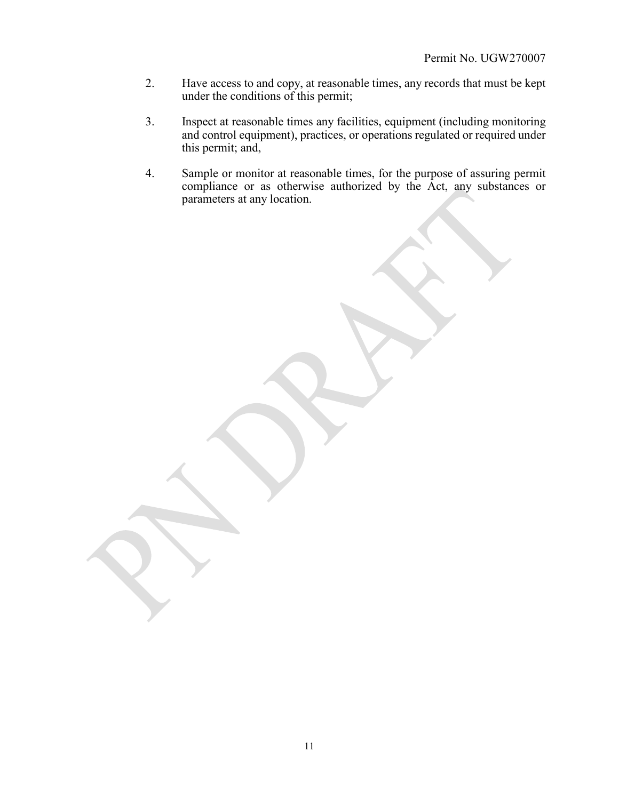- 2. Have access to and copy, at reasonable times, any records that must be kept under the conditions of this permit;
- 3. Inspect at reasonable times any facilities, equipment (including monitoring and control equipment), practices, or operations regulated or required under this permit; and,
- 4. Sample or monitor at reasonable times, for the purpose of assuring permit compliance or as otherwise authorized by the Act, any substances or parameters at any location.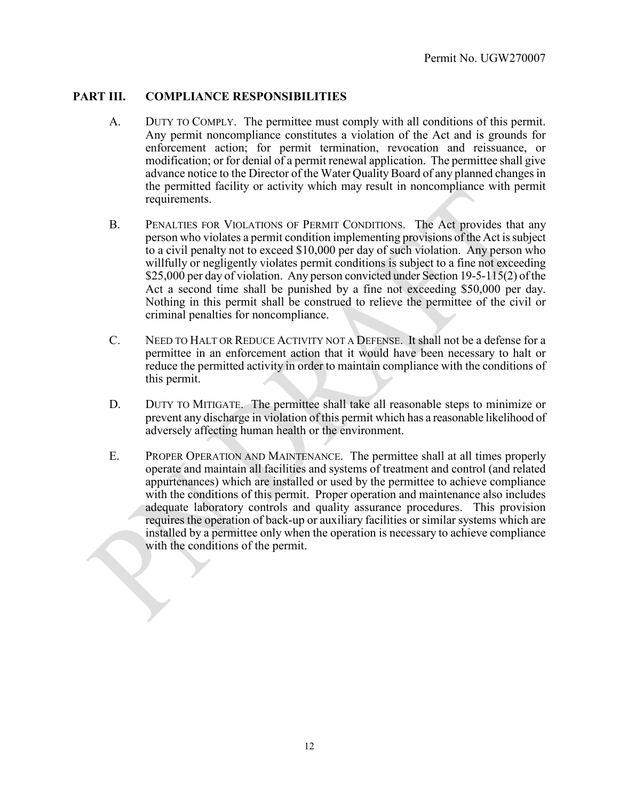# **PART III. COMPLIANCE RESPONSIBILITIES**

- A. DUTY TO COMPLY. The permittee must comply with all conditions of this permit. Any permit noncompliance constitutes a violation of the Act and is grounds for enforcement action; for permit termination, revocation and reissuance, or modification; or for denial of a permit renewal application. The permittee shall give advance notice to the Director of the Water Quality Board of any planned changes in the permitted facility or activity which may result in noncompliance with permit requirements.
- B. PENALTIES FOR VIOLATIONS OF PERMIT CONDITIONS. The Act provides that any person who violates a permit condition implementing provisions of the Act is subject to a civil penalty not to exceed \$10,000 per day of such violation. Any person who willfully or negligently violates permit conditions is subject to a fine not exceeding \$25,000 per day of violation. Any person convicted under Section 19-5-115(2) of the Act a second time shall be punished by a fine not exceeding \$50,000 per day. Nothing in this permit shall be construed to relieve the permittee of the civil or criminal penalties for noncompliance.
- C. NEED TO HALT OR REDUCE ACTIVITY NOT A DEFENSE. It shall not be a defense for a permittee in an enforcement action that it would have been necessary to halt or reduce the permitted activity in order to maintain compliance with the conditions of this permit.
- D. DUTY TO MITIGATE. The permittee shall take all reasonable steps to minimize or prevent any discharge in violation of this permit which has a reasonable likelihood of adversely affecting human health or the environment.
- E. PROPER OPERATION AND MAINTENANCE. The permittee shall at all times properly operate and maintain all facilities and systems of treatment and control (and related appurtenances) which are installed or used by the permittee to achieve compliance with the conditions of this permit. Proper operation and maintenance also includes adequate laboratory controls and quality assurance procedures. This provision requires the operation of back-up or auxiliary facilities or similar systems which are installed by a permittee only when the operation is necessary to achieve compliance with the conditions of the permit.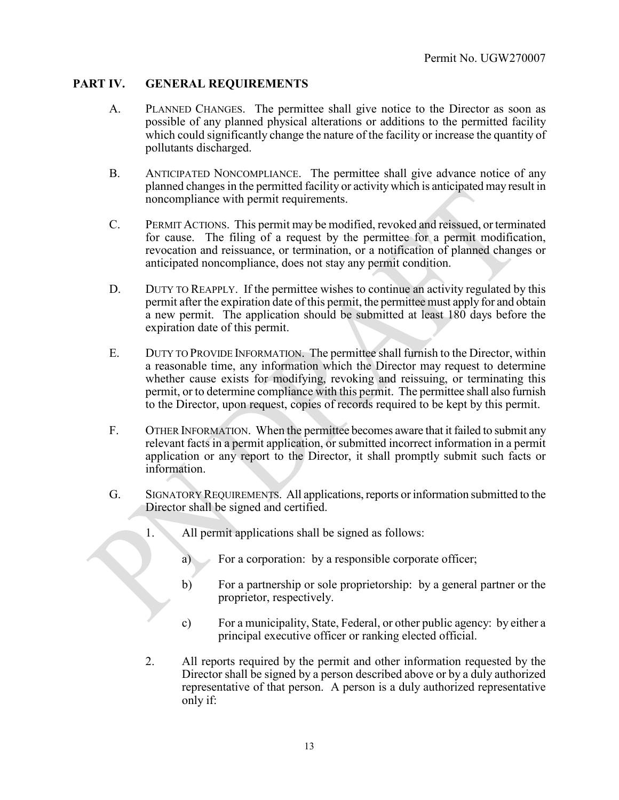# **PART IV. GENERAL REQUIREMENTS**

- A. PLANNED CHANGES. The permittee shall give notice to the Director as soon as possible of any planned physical alterations or additions to the permitted facility which could significantly change the nature of the facility or increase the quantity of pollutants discharged.
- B. ANTICIPATED NONCOMPLIANCE. The permittee shall give advance notice of any planned changes in the permitted facility or activity which is anticipated may result in noncompliance with permit requirements.
- C. PERMIT ACTIONS. This permit may be modified, revoked and reissued, or terminated for cause. The filing of a request by the permittee for a permit modification, revocation and reissuance, or termination, or a notification of planned changes or anticipated noncompliance, does not stay any permit condition.
- D. DUTY TO REAPPLY. If the permittee wishes to continue an activity regulated by this permit after the expiration date of this permit, the permittee must apply for and obtain a new permit. The application should be submitted at least 180 days before the expiration date of this permit.
- E. DUTY TO PROVIDE INFORMATION. The permittee shall furnish to the Director, within a reasonable time, any information which the Director may request to determine whether cause exists for modifying, revoking and reissuing, or terminating this permit, or to determine compliance with this permit. The permittee shall also furnish to the Director, upon request, copies of records required to be kept by this permit.
- F. OTHER INFORMATION. When the permittee becomes aware that it failed to submit any relevant facts in a permit application, or submitted incorrect information in a permit application or any report to the Director, it shall promptly submit such facts or information.
- G. SIGNATORY REQUIREMENTS. All applications, reports or information submitted to the Director shall be signed and certified.
	- 1. All permit applications shall be signed as follows:
		- a) For a corporation: by a responsible corporate officer;
		- b) For a partnership or sole proprietorship: by a general partner or the proprietor, respectively.
		- c) For a municipality, State, Federal, or other public agency: by either a principal executive officer or ranking elected official.
	- 2. All reports required by the permit and other information requested by the Director shall be signed by a person described above or by a duly authorized representative of that person. A person is a duly authorized representative only if: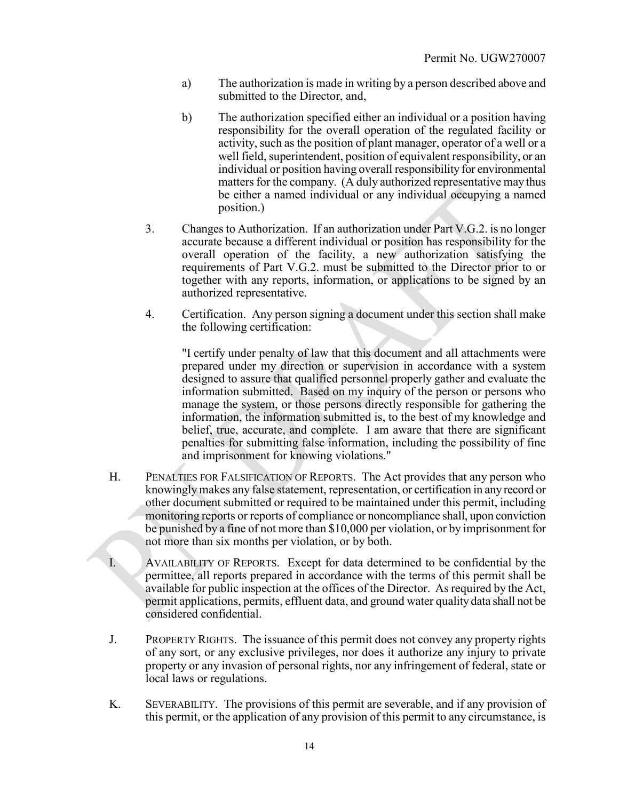- a) The authorization is made in writing by a person described above and submitted to the Director, and,
- b) The authorization specified either an individual or a position having responsibility for the overall operation of the regulated facility or activity, such as the position of plant manager, operator of a well or a well field, superintendent, position of equivalent responsibility, or an individual or position having overall responsibility for environmental matters for the company. (A duly authorized representative may thus be either a named individual or any individual occupying a named position.)
- 3. Changes to Authorization. If an authorization under Part V.G.2. is no longer accurate because a different individual or position has responsibility for the overall operation of the facility, a new authorization satisfying the requirements of Part V.G.2. must be submitted to the Director prior to or together with any reports, information, or applications to be signed by an authorized representative.
- 4. Certification. Any person signing a document under this section shall make the following certification:

"I certify under penalty of law that this document and all attachments were prepared under my direction or supervision in accordance with a system designed to assure that qualified personnel properly gather and evaluate the information submitted. Based on my inquiry of the person or persons who manage the system, or those persons directly responsible for gathering the information, the information submitted is, to the best of my knowledge and belief, true, accurate, and complete. I am aware that there are significant penalties for submitting false information, including the possibility of fine and imprisonment for knowing violations."

H. PENALTIES FOR FALSIFICATION OF REPORTS. The Act provides that any person who knowingly makes any false statement, representation, or certification in any record or other document submitted or required to be maintained under this permit, including monitoring reports or reports of compliance or noncompliance shall, upon conviction be punished by a fine of not more than \$10,000 per violation, or by imprisonment for not more than six months per violation, or by both.

I. AVAILABILITY OF REPORTS. Except for data determined to be confidential by the permittee, all reports prepared in accordance with the terms of this permit shall be available for public inspection at the offices of the Director. As required by the Act, permit applications, permits, effluent data, and ground water quality data shall not be considered confidential.

- J. PROPERTY RIGHTS. The issuance of this permit does not convey any property rights of any sort, or any exclusive privileges, nor does it authorize any injury to private property or any invasion of personal rights, nor any infringement of federal, state or local laws or regulations.
- K. SEVERABILITY. The provisions of this permit are severable, and if any provision of this permit, or the application of any provision of this permit to any circumstance, is